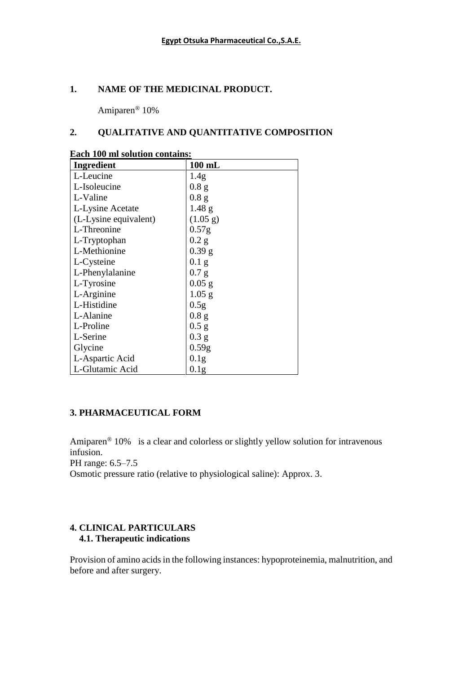### **1. NAME OF THE MEDICINAL PRODUCT.**

Amiparen® 10%

### **2. QUALITATIVE AND QUANTITATIVE COMPOSITION**

| Ingredient            | $100$ mL          |
|-----------------------|-------------------|
| L-Leucine             | 1.4 <sub>g</sub>  |
| L-Isoleucine          | 0.8 <sub>g</sub>  |
| L-Valine              | 0.8 <sub>g</sub>  |
| L-Lysine Acetate      | $1.48$ g          |
| (L-Lysine equivalent) | (1.05 g)          |
| L-Threonine           | 0.57 <sub>g</sub> |
| L-Tryptophan          | 0.2 g             |
| L-Methionine          | $0.39$ g          |
| L-Cysteine            | 0.1 <sub>g</sub>  |
| L-Phenylalanine       | 0.7 g             |
| L-Tyrosine            | $0.05$ g          |
| L-Arginine            | $1.05$ g          |
| L-Histidine           | 0.5g              |
| L-Alanine             | 0.8 <sub>g</sub>  |
| L-Proline             | 0.5 g             |
| L-Serine              | 0.3 g             |
| Glycine               | 0.59g             |
| L-Aspartic Acid       | 0.1 <sub>g</sub>  |
| L-Glutamic Acid       | 0.1 <sub>g</sub>  |

#### **Each 100 ml solution contains:**

### **3. PHARMACEUTICAL FORM**

Amiparen® 10% is a clear and colorless or slightly yellow solution for intravenous infusion.

PH range: 6.5–7.5

Osmotic pressure ratio (relative to physiological saline): Approx. 3.

### **4. CLINICAL PARTICULARS 4.1. Therapeutic indications**

Provision of amino acids in the following instances: hypoproteinemia, malnutrition, and before and after surgery.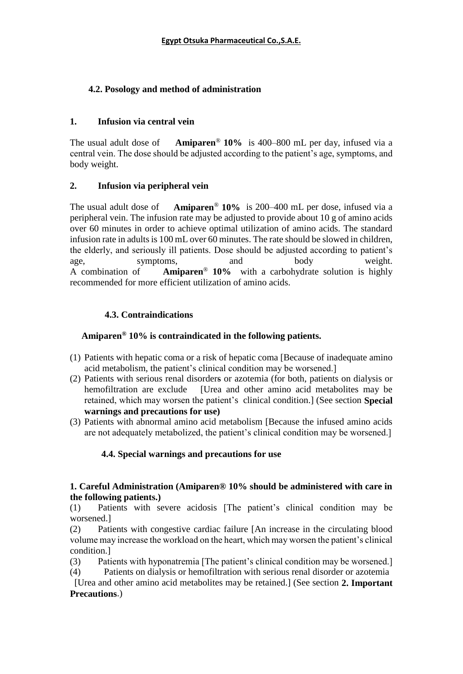# **4.2. Posology and method of administration**

### **1. Infusion via central vein**

The usual adult dose of **Amiparen**® **10%** is 400–800 mL per day, infused via a central vein. The dose should be adjusted according to the patient's age, symptoms, and body weight.

### **2. Infusion via peripheral vein**

The usual adult dose of **Amiparen**® **10%** is 200–400 mL per dose, infused via a peripheral vein. The infusion rate may be adjusted to provide about 10 g of amino acids over 60 minutes in order to achieve optimal utilization of amino acids. The standard infusion rate in adults is 100 mL over 60 minutes. The rate should be slowed in children, the elderly, and seriously ill patients. Dose should be adjusted according to patient's age, symptoms, and body weight. A combination of **Amiparen**® **10%** with a carbohydrate solution is highly recommended for more efficient utilization of amino acids.

### **4.3. Contraindications**

## **Amiparen® 10% is contraindicated in the following patients.**

- (1) Patients with hepatic coma or a risk of hepatic coma [Because of inadequate amino acid metabolism, the patient's clinical condition may be worsened.]
- (2) Patients with serious renal disorders or azotemia (for both, patients on dialysis or hemofiltration are exclude [Urea and other amino acid metabolites may be retained, which may worsen the patient's clinical condition.] (See section **Special warnings and precautions for use)**
- (3) Patients with abnormal amino acid metabolism [Because the infused amino acids are not adequately metabolized, the patient's clinical condition may be worsened.]

## **4.4. Special warnings and precautions for use**

### **1. Careful Administration (Amiparen® 10% should be administered with care in the following patients.)**

(1) Patients with severe acidosis [The patient's clinical condition may be worsened.]

(2) Patients with congestive cardiac failure [An increase in the circulating blood volume may increase the workload on the heart, which may worsen the patient's clinical condition.]

- (3) Patients with hyponatremia [The patient's clinical condition may be worsened.]
- (4) Patients on dialysis or hemofiltration with serious renal disorder or azotemia

 [Urea and other amino acid metabolites may be retained.] (See section **2. Important Precautions**.)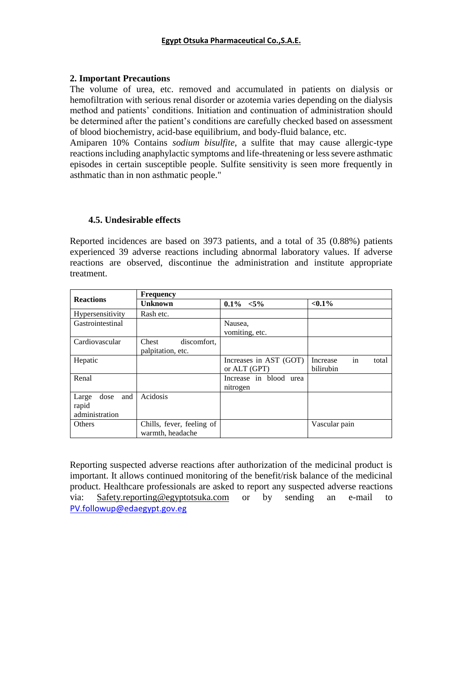### **2. Important Precautions**

The volume of urea, etc. removed and accumulated in patients on dialysis or hemofiltration with serious renal disorder or azotemia varies depending on the dialysis method and patients' conditions. Initiation and continuation of administration should be determined after the patient's conditions are carefully checked based on assessment of blood biochemistry, acid-base equilibrium, and body-fluid balance, etc.

Amiparen 10% Contains *sodium bisulfite*, a sulfite that may cause allergic-type reactions including anaphylactic symptoms and life-threatening or less severe asthmatic episodes in certain susceptible people. Sulfite sensitivity is seen more frequently in asthmatic than in non asthmatic people."

### **4.5. Undesirable effects**

Reported incidences are based on 3973 patients, and a total of 35 (0.88%) patients experienced 39 adverse reactions including abnormal laboratory values. If adverse reactions are observed, discontinue the administration and institute appropriate treatment.

|                                                 | <b>Frequency</b>                              |                                        |                                      |  |
|-------------------------------------------------|-----------------------------------------------|----------------------------------------|--------------------------------------|--|
| <b>Reactions</b>                                | Unknown                                       | $0.1\% < 5\%$                          | $< 0.1\%$                            |  |
| Hypersensitivity                                | Rash etc.                                     |                                        |                                      |  |
| Gastrointestinal                                |                                               | Nausea,<br>vomiting, etc.              |                                      |  |
| Cardiovascular                                  | Chest<br>discomfort,<br>palpitation, etc.     |                                        |                                      |  |
| Hepatic                                         |                                               | Increases in AST (GOT)<br>or ALT (GPT) | in<br>Increase<br>total<br>bilirubin |  |
| Renal                                           |                                               | Increase in blood urea<br>nitrogen     |                                      |  |
| and<br>dose<br>Large<br>rapid<br>administration | Acidosis                                      |                                        |                                      |  |
| <b>Others</b>                                   | Chills, fever, feeling of<br>warmth, headache |                                        | Vascular pain                        |  |

Reporting suspected adverse reactions after authorization of the medicinal product is important. It allows continued monitoring of the benefit/risk balance of the medicinal product. Healthcare professionals are asked to report any suspected adverse reactions via: [Safety.reporting@egyptotsuka.com](mailto:Safety.reporting@egyptotsuka.com) or by sending an e-mail to [PV.followup@edaegypt.gov.eg](mailto:PV.followup@edaegypt.gov.eg)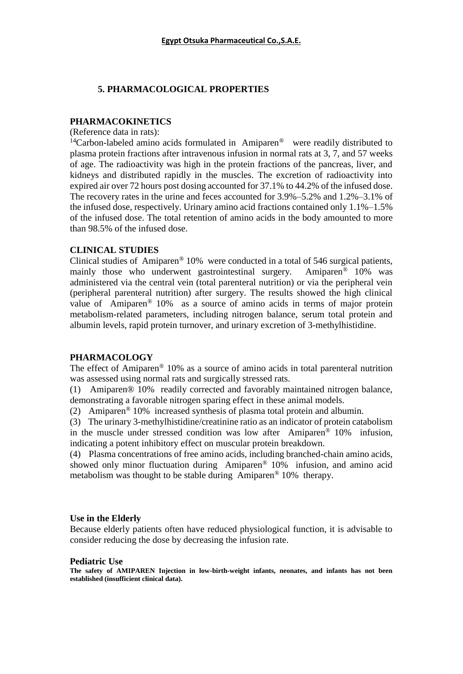### **5. PHARMACOLOGICAL PROPERTIES**

#### **PHARMACOKINETICS**

(Reference data in rats):

<sup>14</sup>Carbon-labeled amino acids formulated in Amiparen<sup>®</sup> were readily distributed to plasma protein fractions after intravenous infusion in normal rats at 3, 7, and 57 weeks of age. The radioactivity was high in the protein fractions of the pancreas, liver, and kidneys and distributed rapidly in the muscles. The excretion of radioactivity into expired air over 72 hours post dosing accounted for 37.1% to 44.2% of the infused dose. The recovery rates in the urine and feces accounted for 3.9%–5.2% and 1.2%–3.1% of the infused dose, respectively. Urinary amino acid fractions contained only 1.1%–1.5% of the infused dose. The total retention of amino acids in the body amounted to more than 98.5% of the infused dose.

### **CLINICAL STUDIES**

Clinical studies of Amiparen® 10% were conducted in a total of 546 surgical patients, mainly those who underwent gastrointestinal surgery. Amiparen® 10% was administered via the central vein (total parenteral nutrition) or via the peripheral vein (peripheral parenteral nutrition) after surgery. The results showed the high clinical value of Amiparen® 10% as a source of amino acids in terms of major protein metabolism-related parameters, including nitrogen balance, serum total protein and albumin levels, rapid protein turnover, and urinary excretion of 3-methylhistidine.

### **PHARMACOLOGY**

The effect of Amiparen® 10% as a source of amino acids in total parenteral nutrition was assessed using normal rats and surgically stressed rats.

(1) Amiparen® 10% readily corrected and favorably maintained nitrogen balance, demonstrating a favorable nitrogen sparing effect in these animal models.

(2) Amiparen® 10% increased synthesis of plasma total protein and albumin.

(3) The urinary 3-methylhistidine/creatinine ratio as an indicator of protein catabolism in the muscle under stressed condition was low after Amiparen® 10% infusion, indicating a potent inhibitory effect on muscular protein breakdown.

(4) Plasma concentrations of free amino acids, including branched-chain amino acids, showed only minor fluctuation during Amiparen<sup>®</sup> 10% infusion, and amino acid metabolism was thought to be stable during Amiparen® 10% therapy.

#### **Use in the Elderly**

Because elderly patients often have reduced physiological function, it is advisable to consider reducing the dose by decreasing the infusion rate.

#### **Pediatric Use**

**The safety of AMIPAREN Injection in low-birth-weight infants, neonates, and infants has not been established (insufficient clinical data).**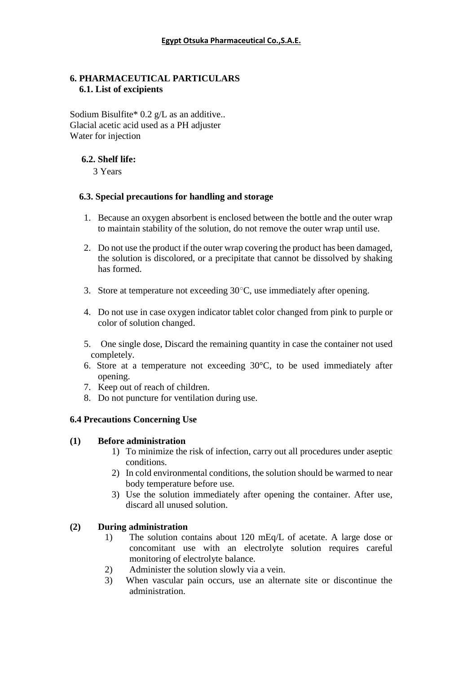### **6. PHARMACEUTICAL PARTICULARS 6.1. List of excipients**

Sodium Bisulfite\*  $0.2$  g/L as an additive.. Glacial acetic acid used as a PH adjuster Water for injection

### **6.2. Shelf life:**

3 Years

### **6.3. Special precautions for handling and storage**

- 1. Because an oxygen absorbent is enclosed between the bottle and the outer wrap to maintain stability of the solution, do not remove the outer wrap until use.
- 2. Do not use the product if the outer wrap covering the product has been damaged, the solution is discolored, or a precipitate that cannot be dissolved by shaking has formed.
- 3. Store at temperature not exceeding  $30^{\circ}$ C, use immediately after opening.
- 4. Do not use in case oxygen indicator tablet color changed from pink to purple or color of solution changed.
- 5. One single dose, Discard the remaining quantity in case the container not used completely.
- 6. Store at a temperature not exceeding 30°C, to be used immediately after opening.
- 7. Keep out of reach of children.
- 8. Do not puncture for ventilation during use.

## **6.4 Precautions Concerning Use**

### **(1) Before administration**

- 1) To minimize the risk of infection, carry out all procedures under aseptic conditions.
- 2) In cold environmental conditions, the solution should be warmed to near body temperature before use.
- 3) Use the solution immediately after opening the container. After use, discard all unused solution.

## **(2) During administration**

- 1) The solution contains about 120 mEq/L of acetate. A large dose or concomitant use with an electrolyte solution requires careful monitoring of electrolyte balance.
- 2) Administer the solution slowly via a vein.
- 3) When vascular pain occurs, use an alternate site or discontinue the administration.